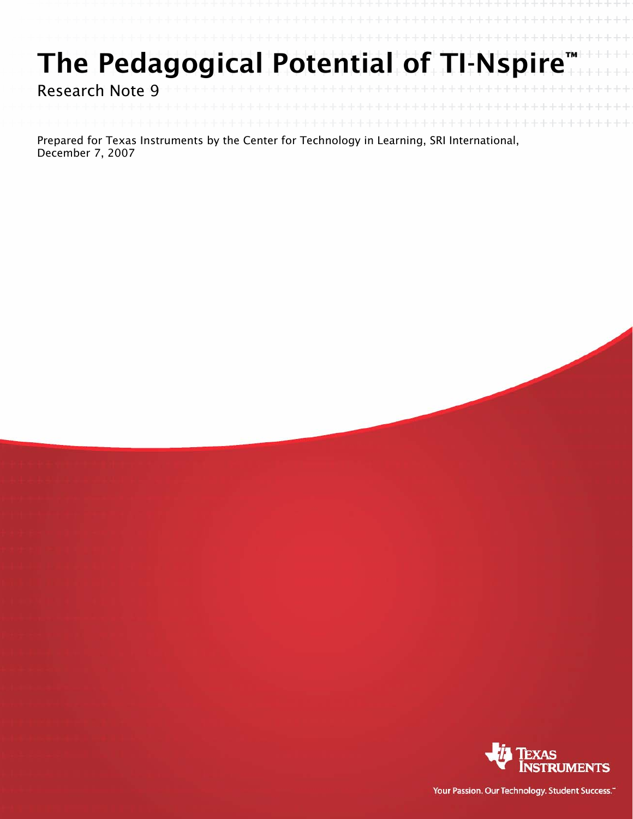# The Pedagogical Potential of TI-Nspire

Research Note 9

Prepared for Texas Instruments by the Center for Technology in Learning, SRI International, December 7, 2007



Your Passion. Our Technology. Student Success."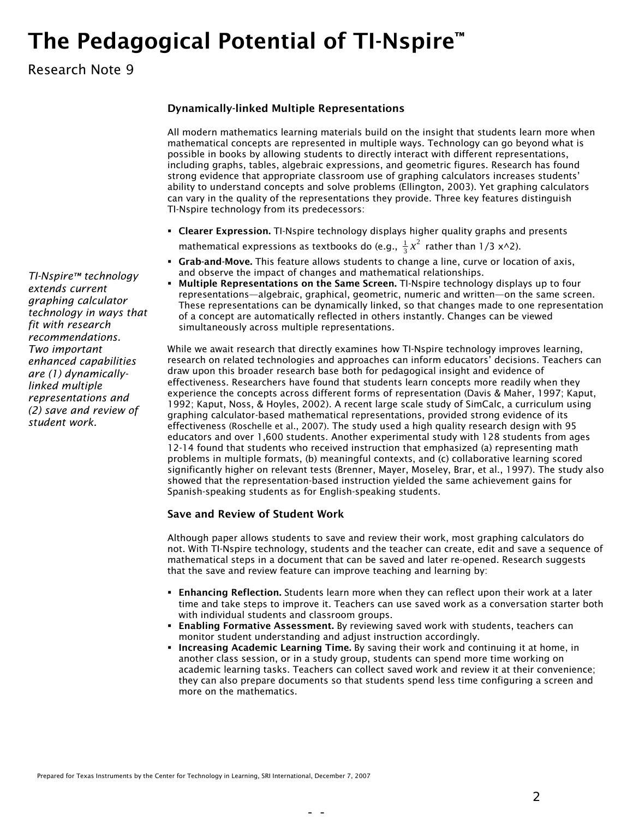## The Pedagogical Potential of TI-Nspire™

### Research Note 9

#### Dynamically-linked Multiple Representations

All modern mathematics learning materials build on the insight that students learn more when mathematical concepts are represented in multiple ways. Technology can go beyond what is possible in books by allowing students to directly interact with different representations, including graphs, tables, algebraic expressions, and geometric figures. Research has found strong evidence that appropriate classroom use of graphing calculators increases students' ability to understand concepts and solve problems (Ellington, 2003). Yet graphing calculators can vary in the quality of the representations they provide. Three key features distinguish TI-Nspire technology from its predecessors:

- **Clearer Expression.** TI-Nspire technology displays higher quality graphs and presents mathematical expressions as textbooks do (e.g.,  $\frac{1}{3}x^2$  rather than 1/3 x^2).
- Grab-and-Move. This feature allows students to change a line, curve or location of axis, and observe the impact of changes and mathematical relationships.
- Multiple Representations on the Same Screen. TI-Nspire technology displays up to four representations—algebraic, graphical, geometric, numeric and written—on the same screen. These representations can be dynamically linked, so that changes made to one representation of a concept are automatically reflected in others instantly. Changes can be viewed simultaneously across multiple representations.

While we await research that directly examines how TI-Nspire technology improves learning, research on related technologies and approaches can inform educators' decisions. Teachers can draw upon this broader research base both for pedagogical insight and evidence of effectiveness. Researchers have found that students learn concepts more readily when they experience the concepts across different forms of representation (Davis & Maher, 1997; Kaput, 1992; Kaput, Noss, & Hoyles, 2002). A recent large scale study of SimCalc, a curriculum using graphing calculator-based mathematical representations, provided strong evidence of its effectiveness (Roschelle et al., 2007). The study used a high quality research design with 95 educators and over 1,600 students. Another experimental study with 128 students from ages 12-14 found that students who received instruction that emphasized (a) representing math problems in multiple formats, (b) meaningful contexts, and (c) collaborative learning scored significantly higher on relevant tests (Brenner, Mayer, Moseley, Brar, et al., 1997). The study also showed that the representation-based instruction yielded the same achievement gains for Spanish-speaking students as for English-speaking students.

#### Save and Review of Student Work

Although paper allows students to save and review their work, most graphing calculators do not. With TI-Nspire technology, students and the teacher can create, edit and save a sequence of mathematical steps in a document that can be saved and later re-opened. Research suggests that the save and review feature can improve teaching and learning by:

- **Enhancing Reflection.** Students learn more when they can reflect upon their work at a later time and take steps to improve it. Teachers can use saved work as a conversation starter both with individual students and classroom groups.
- **Enabling Formative Assessment.** By reviewing saved work with students, teachers can monitor student understanding and adjust instruction accordingly.
- **Increasing Academic Learning Time.** By saving their work and continuing it at home, in another class session, or in a study group, students can spend more time working on academic learning tasks. Teachers can collect saved work and review it at their convenience; they can also prepare documents so that students spend less time configuring a screen and more on the mathematics.

*TI-Nspire™ technology extends current graphing calculator technology in ways that fit with research recommendations. Two important enhanced capabilities are (1) dynamicallylinked multiple representations and (2) save and review of student work.*

- -